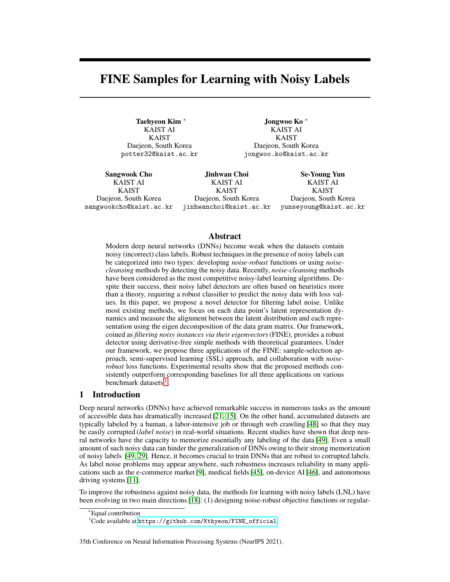# FINE Samples for Learning with Noisy Labels

Taehyeon Kim <sup>∗</sup> KAIST AI KAIST Daejeon, South Korea potter32@kaist.ac.kr

Jongwoo Ko <sup>∗</sup> KAIST AI KAIST Daejeon, South Korea jongwoo.ko@kaist.ac.kr

Sangwook Cho KAIST AI KAIST Daejeon, South Korea sangwookcho@kaist.ac.kr

Jinhwan Choi KAIST AI KAIST Daejeon, South Korea jinhwanchoi@kaist.ac.kr

Se-Young Yun KAIST AI KAIST Daejeon, South Korea yunseyoung@kaist.ac.kr

#### Abstract

Modern deep neural networks (DNNs) become weak when the datasets contain noisy (incorrect) class labels. Robust techniques in the presence of noisy labels can be categorized into two types: developing *noise-robust* functions or using *noisecleansing* methods by detecting the noisy data. Recently, *noise-cleansing* methods have been considered as the most competitive noisy-label learning algorithms. Despite their success, their noisy label detectors are often based on heuristics more than a theory, requiring a robust classifier to predict the noisy data with loss values. In this paper, we propose a novel detector for filtering label noise. Unlike most existing methods, we focus on each data point's latent representation dynamics and measure the alignment between the latent distribution and each representation using the eigen decomposition of the data gram matrix. Our framework, coined as *filtering noisy instances via their eigenvectors*(FINE), provides a robust detector using derivative-free simple methods with theoretical guarantees. Under our framework, we propose three applications of the FINE: sample-selection approach, semi-supervised learning (SSL) approach, and collaboration with *noiserobust* loss functions. Experimental results show that the proposed methods consistently outperform corresponding baselines for all three applications on various benchmark datasets<sup>1</sup>.

# 1 Introduction

Deep neural networks (DNNs) have achieved remarkable success in numerous tasks as the amount of accessible data has dramatically increased [\[21, 15\]](#page-10-0). On the other hand, accumulated datasets are typically labeled by a human, a labor-intensive job or through web crawling [\[48\]](#page-12-0) so that they may be easily corrupted (*label noise*) in real-world situations. Recent studies have shown that deep neural networks have the capacity to memorize essentially any labeling of the data [\[49\]](#page-12-0). Even a small amount of such noisy data can hinder the generalization of DNNs owing to their strong memorization of noisy labels [\[49,](#page-12-0) [29\]](#page-10-0). Hence, it becomes crucial to train DNNs that are robust to corrupted labels. As label noise problems may appear anywhere, such robustness increases reliability in many applications such as the e-commerce market [\[9\]](#page-9-0), medical fields [\[45\]](#page-11-0), on-device AI [\[46\]](#page-11-0), and autonomous driving systems [\[11\]](#page-9-0).

To improve the robustness against noisy data, the methods for learning with noisy labels (LNL) have been evolving in two main directions [\[18\]](#page-10-0): (1) designing noise-robust objective functions or regular-

35th Conference on Neural Information Processing Systems (NeurIPS 2021).

<sup>∗</sup>Equal contribution

<sup>&</sup>lt;sup>1</sup>Code available at [https://github.com/Kthyeon/FINE\\_official](https://github.com/Kthyeon/FINE_official)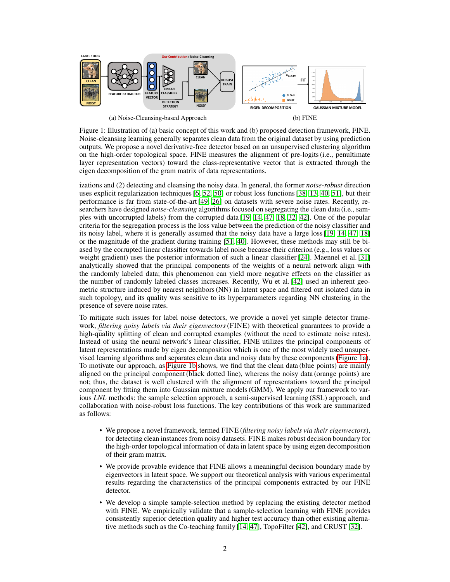

(a) Noise-Cleansing-based Approach

(b) FINE

Figure 1: Illustration of (a) basic concept of this work and (b) proposed detection framework, FINE. Noise-cleansing learning generally separates clean data from the original dataset by using prediction outputs. We propose a novel derivative-free detector based on an unsupervised clustering algorithm on the high-order topological space. FINE measures the alignment of pre-logits (i.e., penultimate layer representation vectors) toward the class-representative vector that is extracted through the eigen decomposition of the gram matrix of data representations.

izations and (2) detecting and cleansing the noisy data. In general, the former *noise-robust* direction uses explicit regularization techniques [\[6,](#page-9-0) [52, 50\]](#page-12-0) or robust loss functions [\[38,](#page-11-0) [13,](#page-10-0) [40,](#page-11-0) [51\]](#page-12-0), but their performance is far from state-of-the-art [\[49,](#page-12-0) [26\]](#page-10-0) on datasets with severe noise rates. Recently, researchers have designed *noise-cleansing* algorithms focused on segregating the clean data (i.e., samples with uncorrupted labels) from the corrupted data [\[19, 14,](#page-10-0) [47,](#page-11-0) [18,](#page-10-0) [32, 42\]](#page-11-0). One of the popular criteria for the segregation process is the loss value between the prediction of the noisy classifier and its noisy label, where it is generally assumed that the noisy data have a large loss [\[19, 14,](#page-10-0) [47,](#page-11-0) [18\]](#page-10-0) or the magnitude of the gradient during training [\[51,](#page-12-0) [40\]](#page-11-0). However, these methods may still be biased by the corrupted linear classifier towards label noise because their criterion (e.g., loss values or weight gradient) uses the posterior information of such a linear classifier [\[24\]](#page-10-0). Maennel et al. [\[31\]](#page-11-0) analytically showed that the principal components of the weights of a neural network align with the randomly labeled data; this phenomenon can yield more negative effects on the classifier as the number of randomly labeled classes increases. Recently, Wu et al. [\[42\]](#page-11-0) used an inherent geometric structure induced by nearest neighbors (NN) in latent space and filtered out isolated data in such topology, and its quality was sensitive to its hyperparameters regarding NN clustering in the presence of severe noise rates.

To mitigate such issues for label noise detectors, we provide a novel yet simple detector framework, *filtering noisy labels via their eigenvectors*(FINE) with theoretical guarantees to provide a high-quality splitting of clean and corrupted examples (without the need to estimate noise rates). Instead of using the neural network's linear classifier, FINE utilizes the principal components of latent representations made by eigen decomposition which is one of the most widely used unsupervised learning algorithms and separates clean data and noisy data by these components (Figure 1a). To motivate our approach, as Figure 1b shows, we find that the clean data (blue points) are mainly aligned on the principal component (black dotted line), whereas the noisy data (orange points) are not; thus, the dataset is well clustered with the alignment of representations toward the principal component by fitting them into Gaussian mixture models (GMM). We apply our framework to various *LNL* methods: the sample selection approach, a semi-supervised learning (SSL) approach, and collaboration with noise-robust loss functions. The key contributions of this work are summarized as follows:

- We propose a novel framework, termed FINE (*filtering noisy labels via their eigenvectors*), for detecting clean instances from noisy datasets. FINE makes robust decision boundary for the high-order topological information of data in latent space by using eigen decomposition of their gram matrix.
- We provide provable evidence that FINE allows a meaningful decision boundary made by eigenvectors in latent space. We support our theoretical analysis with various experimental results regarding the characteristics of the principal components extracted by our FINE detector.
- We develop a simple sample-selection method by replacing the existing detector method with FINE. We empirically validate that a sample-selection learning with FINE provides consistently superior detection quality and higher test accuracy than other existing alternative methods such as the Co-teaching family [\[14,](#page-10-0) [47\]](#page-11-0), TopoFilter [\[42\]](#page-11-0), and CRUST [\[32\]](#page-11-0).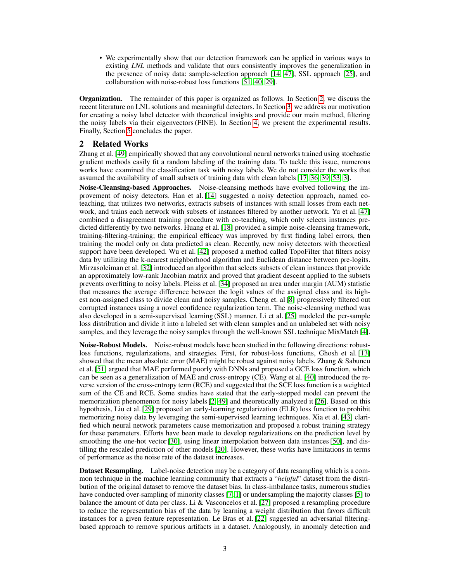• We experimentally show that our detection framework can be applied in various ways to existing *LNL* methods and validate that ours consistently improves the generalization in the presence of noisy data: sample-selection approach [\[14,](#page-10-0) [47\]](#page-11-0), SSL approach [\[25\]](#page-10-0), and collaboration with noise-robust loss functions [\[51,](#page-12-0) [40,](#page-11-0) [29\]](#page-10-0).

Organization. The remainder of this paper is organized as follows. In Section 2, we discuss the recent literature on LNL solutions and meaningful detectors. In Section [3,](#page-3-0) we address our motivation for creating a noisy label detector with theoretical insights and provide our main method, filtering the noisy labels via their eigenvectors (FINE). In Section [4,](#page-6-0) we present the experimental results. Finally, Section [5](#page-8-0) concludes the paper.

# 2 Related Works

Zhang et al. [\[49\]](#page-12-0) empirically showed that any convolutional neural networks trained using stochastic gradient methods easily fit a random labeling of the training data. To tackle this issue, numerous works have examined the classification task with noisy labels. We do not consider the works that assumed the availability of small subsets of training data with clean labels [\[17,](#page-10-0) [36, 39,](#page-11-0) [53,](#page-12-0) [3\]](#page-9-0).

Noise-Cleansing-based Approaches. Noise-cleansing methods have evolved following the improvement of noisy detectors. Han et al. [\[14\]](#page-10-0) suggested a noisy detection approach, named coteaching, that utilizes two networks, extracts subsets of instances with small losses from each network, and trains each network with subsets of instances filtered by another network. Yu et al. [\[47\]](#page-11-0) combined a disagreement training procedure with co-teaching, which only selects instances predicted differently by two networks. Huang et al. [\[18\]](#page-10-0) provided a simple noise-cleansing framework, training-filtering-training; the empirical efficacy was improved by first finding label errors, then training the model only on data predicted as clean. Recently, new noisy detectors with theoretical support have been developed. Wu et al. [\[42\]](#page-11-0) proposed a method called TopoFilter that filters noisy data by utilizing the k-nearest neighborhood algorithm and Euclidean distance between pre-logits. Mirzasoleiman et al. [\[32\]](#page-11-0) introduced an algorithm that selects subsets of clean instances that provide an approximately low-rank Jacobian matrix and proved that gradient descent applied to the subsets prevents overfitting to noisy labels. Pleiss et al. [\[34\]](#page-11-0) proposed an area under margin (AUM) statistic that measures the average difference between the logit values of the assigned class and its highest non-assigned class to divide clean and noisy samples. Cheng et. al [\[8\]](#page-9-0) progressively filtered out corrupted instances using a novel confidence regularization term. The noise-cleansing method was also developed in a semi-supervised learning (SSL) manner. Li et al. [\[25\]](#page-10-0) modeled the per-sample loss distribution and divide it into a labeled set with clean samples and an unlabeled set with noisy samples, and they leverage the noisy samples through the well-known SSL technique MixMatch [\[4\]](#page-9-0).

Noise-Robust Models. Noise-robust models have been studied in the following directions: robustloss functions, regularizations, and strategies. First, for robust-loss functions, Ghosh et al. [\[13\]](#page-10-0) showed that the mean absolute error (MAE) might be robust against noisy labels. Zhang  $\&$  Sabuncu et al. [\[51\]](#page-12-0) argued that MAE performed poorly with DNNs and proposed a GCE loss function, which can be seen as a generalization of MAE and cross-entropy (CE). Wang et al. [\[40\]](#page-11-0) introduced the reverse version of the cross-entropy term (RCE) and suggested that the SCE loss function is a weighted sum of the CE and RCE. Some studies have stated that the early-stopped model can prevent the memorization phenomenon for noisy labels [\[2,](#page-9-0) [49\]](#page-12-0) and theoretically analyzed it [\[26\]](#page-10-0). Based on this hypothesis, Liu et al. [\[29\]](#page-10-0) proposed an early-learning regularization (ELR) loss function to prohibit memorizing noisy data by leveraging the semi-supervised learning techniques. Xia et al. [\[43\]](#page-11-0) clarified which neural network parameters cause memorization and proposed a robust training strategy for these parameters. Efforts have been made to develop regularizations on the prediction level by smoothing the one-hot vector [\[30\]](#page-11-0), using linear interpolation between data instances [\[50\]](#page-12-0), and distilling the rescaled prediction of other models [\[20\]](#page-10-0). However, these works have limitations in terms of performance as the noise rate of the dataset increases.

Dataset Resampling. Label-noise detection may be a category of data resampling which is a common technique in the machine learning community that extracts a "*helpful*" dataset from the distribution of the original dataset to remove the dataset bias. In class-imbalance tasks, numerous studies have conducted over-sampling of minority classes [\[7, 1\]](#page-9-0) or undersampling the majority classes [\[5\]](#page-9-0) to balance the amount of data per class. Li & Vasconcelos et al. [\[27\]](#page-10-0) proposed a resampling procedure to reduce the representation bias of the data by learning a weight distribution that favors difficult instances for a given feature representation. Le Bras et al. [\[22\]](#page-10-0) suggested an adversarial filteringbased approach to remove spurious artifacts in a dataset. Analogously, in anomaly detection and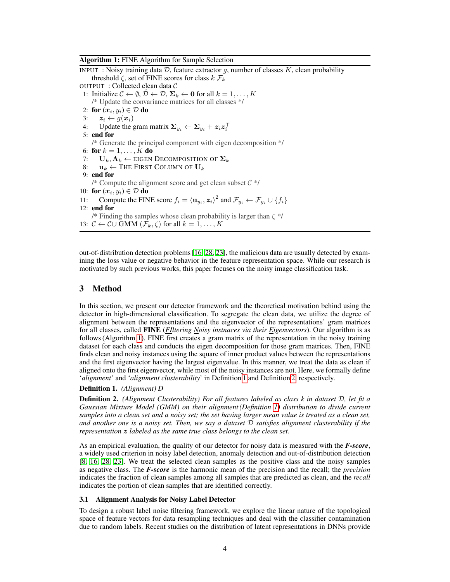<span id="page-3-0"></span>Algorithm 1: FINE Algorithm for Sample Selection

INPUT : Noisy training data  $D$ , feature extractor  $g$ , number of classes  $K$ , clean probability threshold  $\zeta$ , set of FINE scores for class  $k \mathcal{F}_k$ 

```
OUTPUT : Collected clean data C
```
- 1: Initialize  $C \leftarrow \emptyset$ ,  $\overline{D} \leftarrow \overline{D}$ ,  $\Sigma_k \leftarrow 0$  for all  $k = 1, ..., K$ /\* Update the convariance matrices for all classes \*/
- 2: for  $(x_i, y_i) \in \mathcal{D}$  do
- 3:  $z_i \leftarrow g(x_i)$
- 4: Update the gram matrix  $\Sigma_{y_i} \leftarrow \Sigma_{y_i} + z_i z_i^{\top}$
- 5: end for

/\* Generate the principal component with eigen decomposition \*/

- 6: for  $k = 1, ..., K$  do
- 7:  $\mathbf{U}_k, \mathbf{\Lambda}_k \leftarrow \text{EIGEN DECOMPOSITION OF } \mathbf{\Sigma}_k$
- 8:  $\mathbf{u}_k \leftarrow$  The FIRST COLUMN OF  $\mathbf{U}_k$
- 9: end for

/\* Compute the alignment score and get clean subset  $C \cdot \frac{1}{2}$ 

- 10: for  $(x_i, y_i) \in \mathcal{D}$  do
- 11: Compute the FINE score  $f_i = \langle \mathbf{u}_{y_i}, \mathbf{z}_i \rangle^2$  and  $\mathcal{F}_{y_i} \leftarrow \mathcal{F}_{y_i} \cup \{f_i\}$
- 12: end for
- /\* Finding the samples whose clean probability is larger than  $\zeta$  \*/
- 13:  $C \leftarrow C \cup \overline{GMM} (\overline{\mathcal{F}}_k, \zeta)$  for all  $k = 1, \ldots, K$

out-of-distribution detection problems [\[16, 28, 23\]](#page-10-0), the malicious data are usually detected by examining the loss value or negative behavior in the feature representation space. While our research is motivated by such previous works, this paper focuses on the noisy image classification task.

# 3 Method

In this section, we present our detector framework and the theoretical motivation behind using the detector in high-dimensional classification. To segregate the clean data, we utilize the degree of alignment between the representations and the eigenvector of the representations' gram matrices for all classes, called FINE (*FIltering Noisy instnaces via their Eigenvectors*). Our algorithm is as follows (Algorithm 1). FINE first creates a gram matrix of the representation in the noisy training dataset for each class and conducts the eigen decomposition for those gram matrices. Then, FINE finds clean and noisy instances using the square of inner product values between the representations and the first eigenvector having the largest eigenvalue. In this manner, we treat the data as clean if aligned onto the first eigenvector, while most of the noisy instances are not. Here, we formally define '*alignment*' and '*alignment clusterability*' in Definition 1 and Definition 2, respectively.

## Definition 1. *(Alignment) D*

Definition 2. *(Alignment Clusterability) For all features labeled as class k in dataset* D*, let fit a Gaussian Mixture Model (GMM) on their alignment (Definition 1) distribution to divide current samples into a clean set and a noisy set; the set having larger mean value is treated as a clean set, and another one is a noisy set. Then, we say a dataset* D *satisfies alignment clusterability if the representation* z *labeled as the same true class belongs to the clean set.*

As an empirical evaluation, the quality of our detector for noisy data is measured with the *F-score*, a widely used criterion in noisy label detection, anomaly detection and out-of-distribution detection [\[8,](#page-9-0) [16, 28, 23\]](#page-10-0). We treat the selected clean samples as the positive class and the noisy samples as negative class. The *F-score* is the harmonic mean of the precision and the recall; the *precision* indicates the fraction of clean samples among all samples that are predicted as clean, and the *recall* indicates the portion of clean samples that are identified correctly.

## 3.1 Alignment Analysis for Noisy Label Detector

To design a robust label noise filtering framework, we explore the linear nature of the topological space of feature vectors for data resampling techniques and deal with the classifier contamination due to random labels. Recent studies on the distribution of latent representations in DNNs provide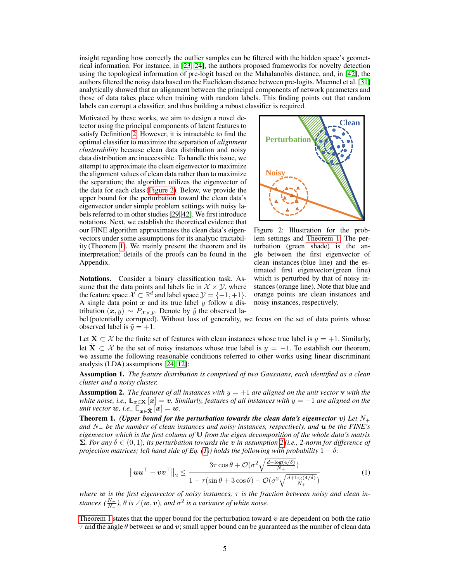<span id="page-4-0"></span>insight regarding how correctly the outlier samples can be filtered with the hidden space's geometrical information. For instance, in [\[23, 24\]](#page-10-0), the authors proposed frameworks for novelty detection using the topological information of pre-logit based on the Mahalanobis distance, and, in [\[42\]](#page-11-0), the authors filtered the noisy data based on the Euclidean distance between pre-logits. Maennel et al. [\[31\]](#page-11-0) analytically showed that an alignment between the principal components of network parameters and those of data takes place when training with random labels. This finding points out that random labels can corrupt a classifier, and thus building a robust classifier is required.

Motivated by these works, we aim to design a novel detector using the principal components of latent features to satisfy Definition [2.](#page-3-0) However, it is intractable to find the optimal classifier to maximize the separation of *alignment clusterability* because clean data distribution and noisy data distribution are inaccessible. To handle this issue, we attempt to approximate the clean eigenvector to maximize the alignment values of clean data rather than to maximize the separation; the algorithm utilizes the eigenvector of the data for each class (Figure 2). Below, we provide the upper bound for the perturbation toward the clean data's eigenvector under simple problem settings with noisy labels referred to in other studies [\[29,](#page-10-0) [42\]](#page-11-0). We first introduce notations. Next, we establish the theoretical evidence that our FINE algorithm approximates the clean data's eigenvectors under some assumptions for its analytic tractability (Theorem 1). We mainly present the theorem and its interpretation; details of the proofs can be found in the Appendix.

Notations. Consider a binary classification task. Assume that the data points and labels lie in  $\mathcal{X} \times \mathcal{Y}$ , where the feature space  $\mathcal{X} \subset \mathbb{R}^d$  and label space  $\mathcal{Y} = \{-1, +1\}.$ A single data point  $x$  and its true label  $y$  follow a distribution  $(x, y) \sim P_{\mathcal{X} \times \mathcal{Y}}$ . Denote by  $\tilde{y}$  the observed la-



Figure 2: Illustration for the problem settings and Theorem 1. The perturbation (green shade) is the angle between the first eigenvector of clean instances (blue line) and the estimated first eigenvector (green line) which is perturbed by that of noisy instances (orange line). Note that blue and orange points are clean instances and noisy instances, respectively.

bel (potentially corrupted). Without loss of generality, we focus on the set of data points whose observed label is  $\tilde{y} = +1$ .

Let  $X \subset \mathcal{X}$  be the finite set of features with clean instances whose true label is  $y = +1$ . Similarly, let  $\tilde{\mathbf{X}} \subset \mathcal{X}$  be the set of noisy instances whose true label is  $y = -1$ . To establish our theorem, we assume the following reasonable conditions referred to other works using linear discriminant analysis (LDA) assumptions [\[24, 12\]](#page-10-0):

Assumption 1. *The feature distribution is comprised of two Gaussians, each identified as a clean cluster and a noisy cluster.*

**Assumption 2.** *The features of all instances with*  $y = +1$  *are aligned on the unit vector* **v** *with the white noise, i.e.,*  $\mathbb{E}_{\bm{x}\in\mathbf{X}}\left[\bm{x}\right]=\bm{v}.$  *Similarly, features of all instances with*  $y=-1$  *are aligned on the unit vector w, i.e.,*  $\mathbb{E}_{\boldsymbol{x}\in\tilde{\mathbf{X}}}\left[\boldsymbol{x}\right]=\boldsymbol{w}.$ 

**Theorem 1.** *(Upper bound for the perturbation towards the clean data's eigenvector* v) Let  $N_{+}$ *and* N<sup>−</sup> *be the number of clean instances and noisy instances, respectively, and* u *be the FINE's eigenvector which is the first column of* U *from the eigen decomposition of the whole data's matrix* Σ*. For any* δ ∈ (0, 1)*, its perturbation towards the* v *in assumption 2 (i.e., 2-norm for difference of projection matrices; left hand side of Eq. (1)) holds the following with probability*  $1 - \delta$ :

$$
\|\boldsymbol{u}\boldsymbol{u}^{\top} - \boldsymbol{v}\boldsymbol{v}^{\top}\|_{2} \leq \frac{3\tau\cos\theta + \mathcal{O}(\sigma^{2}\sqrt{\frac{d + \log(4/\delta)}{N_{+}}})}{1 - \tau(\sin\theta + 3\cos\theta) - \mathcal{O}(\sigma^{2}\sqrt{\frac{d + \log(4/\delta)}{N_{+}}})}
$$
(1)

*where* w *is the first eigenvector of noisy instances,* τ *is the fraction between noisy and clean instances*  $(\frac{N_{-}}{N_{+}})$ ,  $\theta$  *is*  $\angle$ (*w*, *v*), and  $\sigma$ <sup>2</sup> *is a variance of white noise.* 

Theorem 1 states that the upper bound for the perturbation toward  $v$  are dependent on both the ratio  $\tau$  and the angle  $\theta$  between w and v; small upper bound can be guaranteed as the number of clean data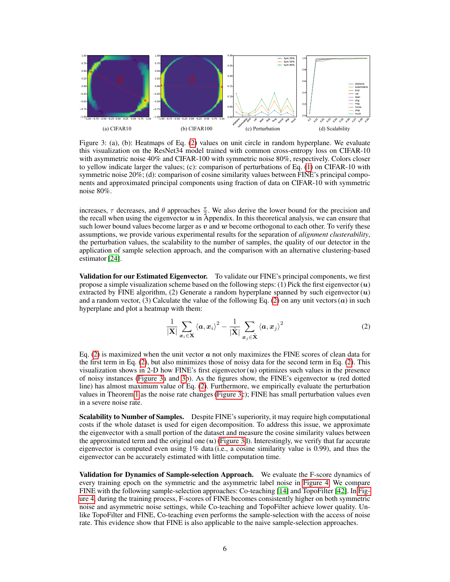

Figure 3: (a), (b): Heatmaps of Eq. (2) values on unit circle in random hyperplane. We evaluate this visualization on the ResNet34 model trained with common cross-entropy loss on CIFAR-10 with asymmetric noise 40% and CIFAR-100 with symmetric noise 80%, respectively. Colors closer to yellow indicate larger the values; (c): comparison of perturbations of Eq. [\(1\)](#page-4-0) on CIFAR-10 with symmetric noise 20%; (d): comparison of cosine similarity values between FINE's principal components and approximated principal components using fraction of data on CIFAR-10 with symmetric noise 80%.

increases,  $\tau$  decreases, and  $\theta$  approaches  $\frac{\pi}{2}$ . We also derive the lower bound for the precision and the recall when using the eigenvector  $u$  in Appendix. In this theoretical analysis, we can ensure that such lower bound values become larger as  $v$  and  $w$  become orthogonal to each other. To verify these assumptions, we provide various experimental results for the separation of *alignment clusterability*, the perturbation values, the scalability to the number of samples, the quality of our detector in the application of sample selection approach, and the comparison with an alternative clustering-based estimator [\[24\]](#page-10-0).

Validation for our Estimated Eigenvector. To validate our FINE's principal components, we first propose a simple visualization scheme based on the following steps: (1) Pick the first eigenvector  $(u)$ extracted by FINE algorithm, (2) Generate a random hyperplane spanned by such eigenvector  $(u)$ and a random vector, (3) Calculate the value of the following Eq. (2) on any unit vectors  $(a)$  in such hyperplane and plot a heatmap with them:

$$
\frac{1}{|\mathbf{X}|}\sum_{\boldsymbol{x}_i\in\mathbf{X}}\left\langle \boldsymbol{a},\boldsymbol{x}_i\right\rangle^2 - \frac{1}{|\tilde{\mathbf{X}}|}\sum_{\boldsymbol{x}_j\in\tilde{\mathbf{X}}}\left\langle \boldsymbol{a},\boldsymbol{x}_j\right\rangle^2\tag{2}
$$

Eq.  $(2)$  is maximized when the unit vector  $\boldsymbol{a}$  not only maximizes the FINE scores of clean data for the first term in Eq. (2), but also minimizes those of noisy data for the second term in Eq. (2). This visualization shows in 2-D how FINE's first eigenvector  $(u)$  optimizes such values in the presence of noisy instances (Figure 3a and 3b). As the figures show, the FINE's eigenvector  $\boldsymbol{u}$  (red dotted line) has almost maximum value of Eq. (2). Furthermore, we empirically evaluate the perturbation values in Theorem [1](#page-4-0) as the noise rate changes (Figure 3c); FINE has small perturbation values even in a severe noise rate.

Scalability to Number of Samples. Despite FINE's superiority, it may require high computational costs if the whole dataset is used for eigen decomposition. To address this issue, we approximate the eigenvector with a small portion of the dataset and measure the cosine similarity values between the approximated term and the original one  $(u)$  (Figure 3d). Interestingly, we verify that far accurate eigenvector is computed even using 1% data (i.e., a cosine similarity value is 0.99), and thus the eigenvector can be accurately estimated with little computation time.

Validation for Dynamics of Sample-selection Approach. We evaluate the F-score dynamics of every training epoch on the symmetric and the asymmetric label noise in [Figure 4.](#page-6-0) We compare FINE with the following sample-selection approaches: Co-teaching [\[14\]](#page-10-0) and TopoFilter [\[42\]](#page-11-0). In [Fig](#page-6-0)[ure 4,](#page-6-0) during the training process, F-scores of FINE becomes consistently higher on both symmetric noise and asymmetric noise settings, while Co-teaching and TopoFilter achieve lower quality. Unlike TopoFilter and FINE, Co-teaching even performs the sample-selection with the access of noise rate. This evidence show that FINE is also applicable to the naive sample-selection approaches.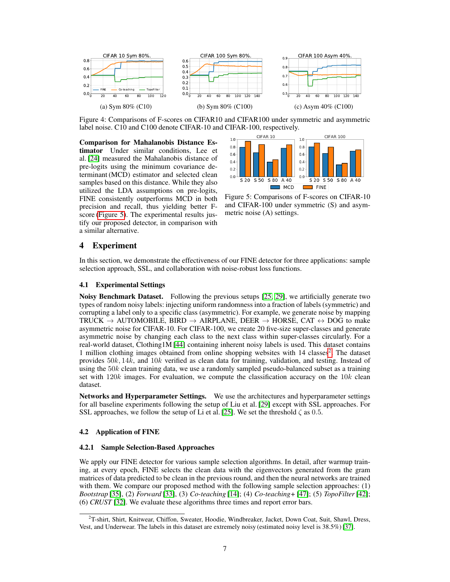<span id="page-6-0"></span>

Figure 4: Comparisons of F-scores on CIFAR10 and CIFAR100 under symmetric and asymmetric label noise. C10 and C100 denote CIFAR-10 and CIFAR-100, respectively.

Comparison for Mahalanobis Distance Estimator Under similar conditions, Lee et al. [\[24\]](#page-10-0) measured the Mahalanobis distance of pre-logits using the minimum covariance determinant (MCD) estimator and selected clean samples based on this distance. While they also utilized the LDA assumptions on pre-logits, FINE consistently outperforms MCD in both precision and recall, thus yielding better Fscore (Figure 5). The experimental results justify our proposed detector, in comparison with a similar alternative.



Figure 5: Comparisons of F-scores on CIFAR-10 and CIFAR-100 under symmetric (S) and asymmetric noise (A) settings.

# 4 Experiment

In this section, we demonstrate the effectiveness of our FINE detector for three applications: sample selection approach, SSL, and collaboration with noise-robust loss functions.

#### 4.1 Experimental Settings

Noisy Benchmark Dataset. Following the previous setups [\[25, 29\]](#page-10-0), we artificially generate two types of random noisy labels: injecting uniform randomness into a fraction of labels (symmetric) and corrupting a label only to a specific class (asymmetric). For example, we generate noise by mapping TRUCK  $\rightarrow$  AUTOMOBILE, BIRD  $\rightarrow$  AIRPLANE, DEER  $\rightarrow$  HORSE, CAT  $\leftrightarrow$  DOG to make asymmetric noise for CIFAR-10. For CIFAR-100, we create 20 five-size super-classes and generate asymmetric noise by changing each class to the next class within super-classes circularly. For a real-world dataset, Clothing1M [\[44\]](#page-11-0) containing inherent noisy labels is used. This dataset contains 1 million clothing images obtained from online shopping websites with 14 classes<sup>2</sup>. The dataset provides  $50k$ ,  $14k$ , and  $10k$  verified as clean data for training, validation, and testing. Instead of using the  $50k$  clean training data, we use a randomly sampled pseudo-balanced subset as a training set with  $120k$  images. For evaluation, we compute the classification accuracy on the  $10k$  clean dataset.

Networks and Hyperparameter Settings. We use the architectures and hyperparameter settings for all baseline experiments following the setup of Liu et al. [\[29\]](#page-10-0) except with SSL approaches. For SSL approaches, we follow the setup of Li et al. [\[25\]](#page-10-0). We set the threshold  $\zeta$  as 0.5.

#### 4.2 Application of FINE

#### 4.2.1 Sample Selection-Based Approaches

We apply our FINE detector for various sample selection algorithms. In detail, after warmup training, at every epoch, FINE selects the clean data with the eigenvectors generated from the gram matrices of data predicted to be clean in the previous round, and then the neural networks are trained with them. We compare our proposed method with the following sample selection approaches: (1) *Bootstrap* [\[35\]](#page-11-0), (2) *Forward* [\[33\]](#page-11-0), (3) *Co-teaching* [\[14\]](#page-10-0); (4) *Co-teaching+*[\[47\]](#page-11-0); (5) *TopoFilter*[\[42\]](#page-11-0); (6) *CRUST* [\[32\]](#page-11-0). We evaluate these algorithms three times and report error bars.

<sup>&</sup>lt;sup>2</sup>T-shirt, Shirt, Knitwear, Chiffon, Sweater, Hoodie, Windbreaker, Jacket, Down Coat, Suit, Shawl, Dress, Vest, and Underwear. The labels in this dataset are extremely noisy (estimated noisy level is 38.5%) [\[37\]](#page-11-0).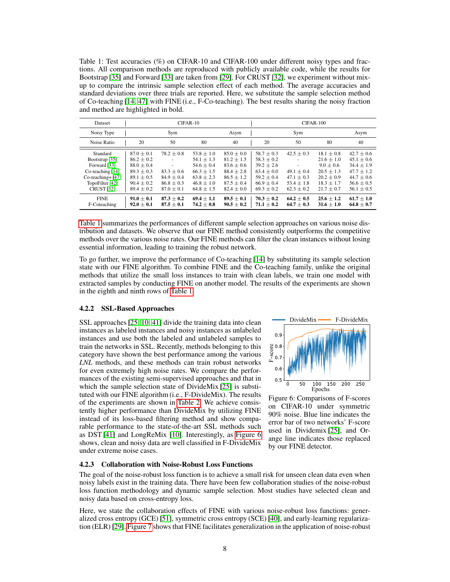Table 1: Test accuracies (%) on CIFAR-10 and CIFAR-100 under different noisy types and fractions. All comparison methods are reproduced with publicly available code, while the results for Bootstrap [\[35\]](#page-11-0) and Forward [\[33\]](#page-11-0) are taken from [\[29\]](#page-10-0). For CRUST [\[32\]](#page-11-0), we experiment without mixup to compare the intrinsic sample selection effect of each method. The average accuracies and standard deviations over three trials are reported. Here, we substitute the sample selection method of Co-teaching [\[14,](#page-10-0) [47\]](#page-11-0) with FINE (i.e., F-Co-teaching). The best results sharing the noisy fraction and method are highlighted in bold.

| <b>Dataset</b>                                                                                                                     | CIFAR-10                                                                                                                   |                                                                                                |                                                                                                                        |                                                                                                                      | CIFAR-100                                                                                                            |                                                                                    |                                                                                                                 |                                                                                                                      |  |
|------------------------------------------------------------------------------------------------------------------------------------|----------------------------------------------------------------------------------------------------------------------------|------------------------------------------------------------------------------------------------|------------------------------------------------------------------------------------------------------------------------|----------------------------------------------------------------------------------------------------------------------|----------------------------------------------------------------------------------------------------------------------|------------------------------------------------------------------------------------|-----------------------------------------------------------------------------------------------------------------|----------------------------------------------------------------------------------------------------------------------|--|
| Noisy Type                                                                                                                         |                                                                                                                            | Sym                                                                                            |                                                                                                                        | Asym                                                                                                                 |                                                                                                                      | Sym                                                                                |                                                                                                                 | Asym                                                                                                                 |  |
| Noise Ratio                                                                                                                        | 20                                                                                                                         | 50                                                                                             | 80                                                                                                                     | 40                                                                                                                   | 20                                                                                                                   | 50                                                                                 | 80                                                                                                              | 40                                                                                                                   |  |
| Standard<br>Bootstrap [35]<br>Forward [33]<br>Co-teaching $[14]$<br>$Co$ -teaching+ $[47]$<br>TopoFilter [42]<br><b>CRUST [32]</b> | $87.0 \pm 0.1$<br>$86.2 \pm 0.2$<br>$88.0 \pm 0.4$<br>$89.3 \pm 0.3$<br>$89.1 \pm 0.5$<br>$90.4 \pm 0.2$<br>$89.4 \pm 0.2$ | $78.2 \pm 0.8$<br>٠<br>٠<br>$83.3 + 0.6$<br>$84.9 \pm 0.4$<br>$86.8 \pm 0.3$<br>$87.0 \pm 0.1$ | $53.8 \pm 1.0$<br>$54.1 \pm 1.3$<br>$54.6 \pm 0.4$<br>$66.3 + 1.5$<br>$63.8 \pm 2.3$<br>$46.8 + 1.0$<br>$64.8 \pm 1.5$ | $85.0 \pm 0.0$<br>$81.2 \pm 1.5$<br>$83.6 + 0.6$<br>$88.4 + 2.8$<br>$86.5 \pm 1.2$<br>$87.5 + 0.4$<br>$82.4 \pm 0.0$ | $58.7 \pm 0.3$<br>$58.3 \pm 0.2$<br>$39.2 + 2.6$<br>$63.4 + 0.0$<br>$59.2 \pm 0.4$<br>$66.9 + 0.4$<br>$69.3 \pm 0.2$ | $42.5 \pm 0.3$<br>$49.1 + 0.4$<br>$47.1 \pm 0.3$<br>$53.4 + 1.8$<br>$62.3 \pm 0.2$ | $18.1 \pm 0.8$<br>$21.6 \pm 1.0$<br>$9.0 + 0.6$<br>$20.5 + 1.3$<br>$20.2 + 0.9$<br>$18.3 + 1.7$<br>$21.7 + 0.7$ | $42.7 \pm 0.6$<br>$45.1 \pm 0.6$<br>$34.4 \pm 1.9$<br>$47.7 + 1.2$<br>$44.7 + 0.6$<br>$56.6 + 0.5$<br>$56.1 \pm 0.5$ |  |
| <b>FINE</b><br>F-Coteaching                                                                                                        | $91.0 + 0.1$<br>$92.0 \pm 0.1$                                                                                             | $87.3 \pm 0.2$<br>$87.5 \pm 0.1$                                                               | $69.4 \pm 1.1$<br>$74.2 \pm 0.8$                                                                                       | $89.5 + 0.1$<br>$90.5 \pm 0.2$                                                                                       | $70.3 \pm 0.2$<br>$71.1 \pm 0.2$                                                                                     | $64.2 \pm 0.5$<br>$64.7 \pm 0.3$                                                   | $25.6 \pm 1.2$<br>$31.6 \pm 1.0$                                                                                | $61.7 \pm 1.0$<br>$64.8 \pm 0.7$                                                                                     |  |

Table 1 summarizes the performances of different sample selection approaches on various noise distribution and datasets. We observe that our FINE method consistently outperforms the competitive methods over the various noise rates. Our FINE methods can filter the clean instances without losing essential information, leading to training the robust network.

To go further, we improve the performance of Co-teaching [\[14\]](#page-10-0) by substituting its sample selection state with our FINE algorithm. To combine FINE and the Co-teaching family, unlike the original methods that utilize the small loss instances to train with clean labels, we train one model with extracted samples by conducting FINE on another model. The results of the experiments are shown in the eighth and ninth rows of Table 1.

#### 4.2.2 SSL-Based Approaches

SSL approaches [\[25,](#page-10-0) [10,](#page-9-0) [41\]](#page-11-0) divide the training data into clean instances as labeled instances and noisy instances as unlabeled instances and use both the labeled and unlabeled samples to train the networks in SSL. Recently, methods belonging to this category have shown the best performance among the various *LNL* methods, and these methods can train robust networks for even extremely high noise rates. We compare the performances of the existing semi-supervised approaches and that in which the sample selection state of DivideMix [\[25\]](#page-10-0) is substituted with our FINE algorithm (i.e., F-DivideMix). The results of the experiments are shown in [Table 2.](#page-8-0) We achieve consistently higher performance than DivideMix by utilizing FINE instead of its loss-based filtering method and show comparable performance to the state-of-the-art SSL methods such as DST [\[41\]](#page-11-0) and LongReMix [\[10\]](#page-9-0). Interestingly, as Figure 6 shows, clean and noisy data are well classified in F-DivideMix under extreme noise cases.



Figure 6: Comparisons of F-scores on CIFAR-10 under symmetric 90% noise. Blue line indicates the error bar of two networks' F-score used in Dividemix [\[25\]](#page-10-0), and Orange line indicates those replaced by our FINE detector.

#### 4.2.3 Collaboration with Noise-Robust Loss Functions

The goal of the noise-robust loss function is to achieve a small risk for unseen clean data even when noisy labels exist in the training data. There have been few collaboration studies of the noise-robust loss function methodology and dynamic sample selection. Most studies have selected clean and noisy data based on cross-entropy loss.

Here, we state the collaboration effects of FINE with various noise-robust loss functions: generalized cross entropy (GCE) [\[51\]](#page-12-0), symmetric cross entropy (SCE) [\[40\]](#page-11-0), and early-learning regularization (ELR) [\[29\]](#page-10-0). [Figure 7](#page-8-0) shows that FINE facilitates generalization in the application of noise-robust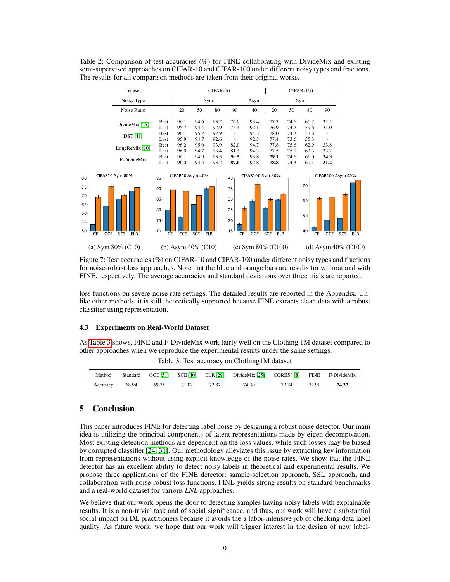

<span id="page-8-0"></span>Table 2: Comparison of test accuracies (%) for FINE collaborating with DivideMix and existing semi-supervised approaches on CIFAR-10 and CIFAR-100 under different noisy types and fractions. The results for all comparison methods are taken from their original works.

Figure 7: Test accuracies (%) on CIFAR-10 and CIFAR-100 under different noisy types and fractions for noise-robust loss approaches. Note that the blue and orange bars are results for without and with FINE, respectively. The average accuracies and standard deviations over three trials are reported.

loss functions on severe noise rate settings. The detailed results are reported in the Appendix. Unlike other methods, it is still theoretically supported because FINE extracts clean data with a robust classifier using representation.

## 4.3 Experiments on Real-World Dataset

As Table 3 shows, FINE and F-DivideMix work fairly well on the Clothing 1M dataset compared to other approaches when we reproduce the experimental results under the same settings.

| Method Standard GCE [51] SCE [40] ELR [29] DivideMix [25] CORES <sup>2</sup> [8] FINE F-DivideMix |       |       |       |       |       |       |       |
|---------------------------------------------------------------------------------------------------|-------|-------|-------|-------|-------|-------|-------|
| Accuracy 68.94                                                                                    | 69.75 | 71.02 | 72.87 | 74.30 | 73 24 | 72.91 | 74.37 |

Table 3: Test accuracy on Clothing1M dataset

# 5 Conclusion

This paper introduces FINE for detecting label noise by designing a robust noise detector. Our main idea is utilizing the principal components of latent representations made by eigen decomposition. Most existing detection methods are dependent on the loss values, while such losses may be biased by corrupted classifier [\[24,](#page-10-0) [31\]](#page-11-0). Our methodology alleviates this issue by extracting key information from representations without using explicit knowledge of the noise rates. We show that the FINE detector has an excellent ability to detect noisy labels in theoretical and experimental results. We propose three applications of the FINE detector: sample-selection approach, SSL approach, and collaboration with noise-robust loss functions. FINE yields strong results on standard benchmarks and a real-world dataset for various *LNL* approaches.

We believe that our work opens the door to detecting samples having noisy labels with explainable results. It is a non-trivial task and of social significance, and thus, our work will have a substantial social impact on DL practitioners because it avoids the a labor-intensive job of checking data label quality. As future work, we hope that our work will trigger interest in the design of new label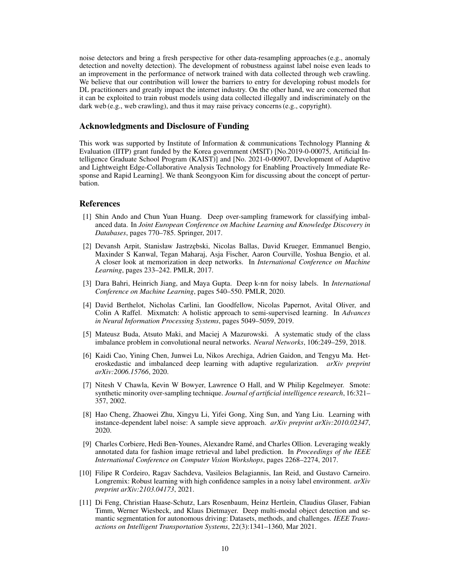<span id="page-9-0"></span>noise detectors and bring a fresh perspective for other data-resampling approaches (e.g., anomaly detection and novelty detection). The development of robustness against label noise even leads to an improvement in the performance of network trained with data collected through web crawling. We believe that our contribution will lower the barriers to entry for developing robust models for DL practitioners and greatly impact the internet industry. On the other hand, we are concerned that it can be exploited to train robust models using data collected illegally and indiscriminately on the dark web (e.g., web crawling), and thus it may raise privacy concerns (e.g., copyright).

# Acknowledgments and Disclosure of Funding

This work was supported by Institute of Information & communications Technology Planning & Evaluation (IITP) grant funded by the Korea government (MSIT) [No.2019-0-00075, Artificial Intelligence Graduate School Program (KAIST)] and [No. 2021-0-00907, Development of Adaptive and Lightweight Edge-Collaborative Analysis Technology for Enabling Proactively Immediate Response and Rapid Learning]. We thank Seongyoon Kim for discussing about the concept of perturbation.

# References

- [1] Shin Ando and Chun Yuan Huang. Deep over-sampling framework for classifying imbalanced data. In *Joint European Conference on Machine Learning and Knowledge Discovery in Databases*, pages 770–785. Springer, 2017.
- [2] Devansh Arpit, Stanisław Jastrz˛ebski, Nicolas Ballas, David Krueger, Emmanuel Bengio, Maxinder S Kanwal, Tegan Maharaj, Asja Fischer, Aaron Courville, Yoshua Bengio, et al. A closer look at memorization in deep networks. In *International Conference on Machine Learning*, pages 233–242. PMLR, 2017.
- [3] Dara Bahri, Heinrich Jiang, and Maya Gupta. Deep k-nn for noisy labels. In *International Conference on Machine Learning*, pages 540–550. PMLR, 2020.
- [4] David Berthelot, Nicholas Carlini, Ian Goodfellow, Nicolas Papernot, Avital Oliver, and Colin A Raffel. Mixmatch: A holistic approach to semi-supervised learning. In *Advances in Neural Information Processing Systems*, pages 5049–5059, 2019.
- [5] Mateusz Buda, Atsuto Maki, and Maciej A Mazurowski. A systematic study of the class imbalance problem in convolutional neural networks. *Neural Networks*, 106:249–259, 2018.
- [6] Kaidi Cao, Yining Chen, Junwei Lu, Nikos Arechiga, Adrien Gaidon, and Tengyu Ma. Heteroskedastic and imbalanced deep learning with adaptive regularization. *arXiv preprint arXiv:2006.15766*, 2020.
- [7] Nitesh V Chawla, Kevin W Bowyer, Lawrence O Hall, and W Philip Kegelmeyer. Smote: synthetic minority over-sampling technique. *Journal of artificial intelligence research*, 16:321– 357, 2002.
- [8] Hao Cheng, Zhaowei Zhu, Xingyu Li, Yifei Gong, Xing Sun, and Yang Liu. Learning with instance-dependent label noise: A sample sieve approach. *arXiv preprint arXiv:2010.02347*, 2020.
- [9] Charles Corbiere, Hedi Ben-Younes, Alexandre Ramé, and Charles Ollion. Leveraging weakly annotated data for fashion image retrieval and label prediction. In *Proceedings of the IEEE International Conference on Computer Vision Workshops*, pages 2268–2274, 2017.
- [10] Filipe R Cordeiro, Ragav Sachdeva, Vasileios Belagiannis, Ian Reid, and Gustavo Carneiro. Longremix: Robust learning with high confidence samples in a noisy label environment. *arXiv preprint arXiv:2103.04173*, 2021.
- [11] Di Feng, Christian Haase-Schutz, Lars Rosenbaum, Heinz Hertlein, Claudius Glaser, Fabian Timm, Werner Wiesbeck, and Klaus Dietmayer. Deep multi-modal object detection and semantic segmentation for autonomous driving: Datasets, methods, and challenges. *IEEE Transactions on Intelligent Transportation Systems*, 22(3):1341–1360, Mar 2021.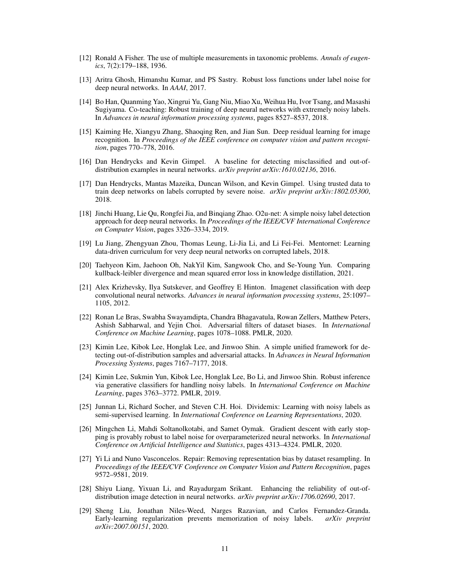- <span id="page-10-0"></span>[12] Ronald A Fisher. The use of multiple measurements in taxonomic problems. *Annals of eugenics*, 7(2):179–188, 1936.
- [13] Aritra Ghosh, Himanshu Kumar, and PS Sastry. Robust loss functions under label noise for deep neural networks. In *AAAI*, 2017.
- [14] Bo Han, Quanming Yao, Xingrui Yu, Gang Niu, Miao Xu, Weihua Hu, Ivor Tsang, and Masashi Sugiyama. Co-teaching: Robust training of deep neural networks with extremely noisy labels. In *Advances in neural information processing systems*, pages 8527–8537, 2018.
- [15] Kaiming He, Xiangyu Zhang, Shaoqing Ren, and Jian Sun. Deep residual learning for image recognition. In *Proceedings of the IEEE conference on computer vision and pattern recognition*, pages 770–778, 2016.
- [16] Dan Hendrycks and Kevin Gimpel. A baseline for detecting misclassified and out-ofdistribution examples in neural networks. *arXiv preprint arXiv:1610.02136*, 2016.
- [17] Dan Hendrycks, Mantas Mazeika, Duncan Wilson, and Kevin Gimpel. Using trusted data to train deep networks on labels corrupted by severe noise. *arXiv preprint arXiv:1802.05300*, 2018.
- [18] Jinchi Huang, Lie Qu, Rongfei Jia, and Binqiang Zhao. O2u-net: A simple noisy label detection approach for deep neural networks. In *Proceedings of the IEEE/CVF International Conference on Computer Vision*, pages 3326–3334, 2019.
- [19] Lu Jiang, Zhengyuan Zhou, Thomas Leung, Li-Jia Li, and Li Fei-Fei. Mentornet: Learning data-driven curriculum for very deep neural networks on corrupted labels, 2018.
- [20] Taehyeon Kim, Jaehoon Oh, NakYil Kim, Sangwook Cho, and Se-Young Yun. Comparing kullback-leibler divergence and mean squared error loss in knowledge distillation, 2021.
- [21] Alex Krizhevsky, Ilya Sutskever, and Geoffrey E Hinton. Imagenet classification with deep convolutional neural networks. *Advances in neural information processing systems*, 25:1097– 1105, 2012.
- [22] Ronan Le Bras, Swabha Swayamdipta, Chandra Bhagavatula, Rowan Zellers, Matthew Peters, Ashish Sabharwal, and Yejin Choi. Adversarial filters of dataset biases. In *International Conference on Machine Learning*, pages 1078–1088. PMLR, 2020.
- [23] Kimin Lee, Kibok Lee, Honglak Lee, and Jinwoo Shin. A simple unified framework for detecting out-of-distribution samples and adversarial attacks. In *Advances in Neural Information Processing Systems*, pages 7167–7177, 2018.
- [24] Kimin Lee, Sukmin Yun, Kibok Lee, Honglak Lee, Bo Li, and Jinwoo Shin. Robust inference via generative classifiers for handling noisy labels. In *International Conference on Machine Learning*, pages 3763–3772. PMLR, 2019.
- [25] Junnan Li, Richard Socher, and Steven C.H. Hoi. Dividemix: Learning with noisy labels as semi-supervised learning. In *International Conference on Learning Representations*, 2020.
- [26] Mingchen Li, Mahdi Soltanolkotabi, and Samet Oymak. Gradient descent with early stopping is provably robust to label noise for overparameterized neural networks. In *International Conference on Artificial Intelligence and Statistics*, pages 4313–4324. PMLR, 2020.
- [27] Yi Li and Nuno Vasconcelos. Repair: Removing representation bias by dataset resampling. In *Proceedings of the IEEE/CVF Conference on Computer Vision and Pattern Recognition*, pages 9572–9581, 2019.
- [28] Shiyu Liang, Yixuan Li, and Rayadurgam Srikant. Enhancing the reliability of out-ofdistribution image detection in neural networks. *arXiv preprint arXiv:1706.02690*, 2017.
- [29] Sheng Liu, Jonathan Niles-Weed, Narges Razavian, and Carlos Fernandez-Granda. Early-learning regularization prevents memorization of noisy labels. *arXiv preprint arXiv:2007.00151*, 2020.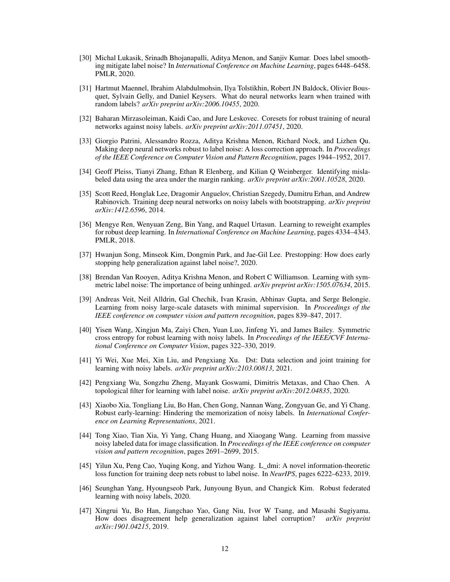- <span id="page-11-0"></span>[30] Michal Lukasik, Srinadh Bhojanapalli, Aditya Menon, and Sanjiv Kumar. Does label smoothing mitigate label noise? In *International Conference on Machine Learning*, pages 6448–6458. PMLR, 2020.
- [31] Hartmut Maennel, Ibrahim Alabdulmohsin, Ilya Tolstikhin, Robert JN Baldock, Olivier Bousquet, Sylvain Gelly, and Daniel Keysers. What do neural networks learn when trained with random labels? *arXiv preprint arXiv:2006.10455*, 2020.
- [32] Baharan Mirzasoleiman, Kaidi Cao, and Jure Leskovec. Coresets for robust training of neural networks against noisy labels. *arXiv preprint arXiv:2011.07451*, 2020.
- [33] Giorgio Patrini, Alessandro Rozza, Aditya Krishna Menon, Richard Nock, and Lizhen Qu. Making deep neural networks robust to label noise: A loss correction approach. In *Proceedings of the IEEE Conference on Computer Vision and Pattern Recognition*, pages 1944–1952, 2017.
- [34] Geoff Pleiss, Tianyi Zhang, Ethan R Elenberg, and Kilian Q Weinberger. Identifying mislabeled data using the area under the margin ranking. *arXiv preprint arXiv:2001.10528*, 2020.
- [35] Scott Reed, Honglak Lee, Dragomir Anguelov, Christian Szegedy, Dumitru Erhan, and Andrew Rabinovich. Training deep neural networks on noisy labels with bootstrapping. *arXiv preprint arXiv:1412.6596*, 2014.
- [36] Mengye Ren, Wenyuan Zeng, Bin Yang, and Raquel Urtasun. Learning to reweight examples for robust deep learning. In *International Conference on Machine Learning*, pages 4334–4343. PMLR, 2018.
- [37] Hwanjun Song, Minseok Kim, Dongmin Park, and Jae-Gil Lee. Prestopping: How does early stopping help generalization against label noise?, 2020.
- [38] Brendan Van Rooyen, Aditya Krishna Menon, and Robert C Williamson. Learning with symmetric label noise: The importance of being unhinged. *arXiv preprint arXiv:1505.07634*, 2015.
- [39] Andreas Veit, Neil Alldrin, Gal Chechik, Ivan Krasin, Abhinav Gupta, and Serge Belongie. Learning from noisy large-scale datasets with minimal supervision. In *Proceedings of the IEEE conference on computer vision and pattern recognition*, pages 839–847, 2017.
- [40] Yisen Wang, Xingjun Ma, Zaiyi Chen, Yuan Luo, Jinfeng Yi, and James Bailey. Symmetric cross entropy for robust learning with noisy labels. In *Proceedings of the IEEE/CVF International Conference on Computer Vision*, pages 322–330, 2019.
- [41] Yi Wei, Xue Mei, Xin Liu, and Pengxiang Xu. Dst: Data selection and joint training for learning with noisy labels. *arXiv preprint arXiv:2103.00813*, 2021.
- [42] Pengxiang Wu, Songzhu Zheng, Mayank Goswami, Dimitris Metaxas, and Chao Chen. A topological filter for learning with label noise. *arXiv preprint arXiv:2012.04835*, 2020.
- [43] Xiaobo Xia, Tongliang Liu, Bo Han, Chen Gong, Nannan Wang, Zongyuan Ge, and Yi Chang. Robust early-learning: Hindering the memorization of noisy labels. In *International Conference on Learning Representations*, 2021.
- [44] Tong Xiao, Tian Xia, Yi Yang, Chang Huang, and Xiaogang Wang. Learning from massive noisy labeled data for image classification. In *Proceedings of the IEEE conference on computer vision and pattern recognition*, pages 2691–2699, 2015.
- [45] Yilun Xu, Peng Cao, Yuqing Kong, and Yizhou Wang. L\_dmi: A novel information-theoretic loss function for training deep nets robust to label noise. In *NeurIPS*, pages 6222–6233, 2019.
- [46] Seunghan Yang, Hyoungseob Park, Junyoung Byun, and Changick Kim. Robust federated learning with noisy labels, 2020.
- [47] Xingrui Yu, Bo Han, Jiangchao Yao, Gang Niu, Ivor W Tsang, and Masashi Sugiyama. How does disagreement help generalization against label corruption? *arXiv preprint arXiv:1901.04215*, 2019.